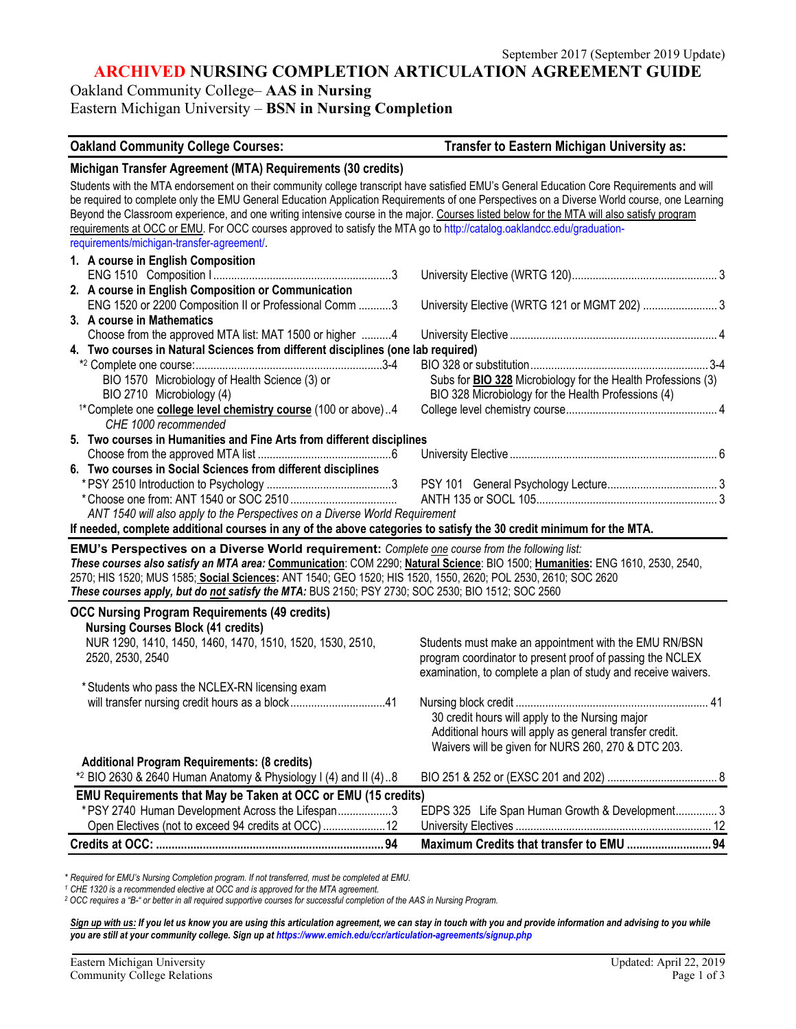**ARCHIVED NURSING COMPLETION ARTICULATION AGREEMENT GUIDE**

Oakland Community College– **AAS in Nursing**

Eastern Michigan University – **BSN in Nursing Completion**

**Oakland Community College Courses: Transfer to Eastern Michigan University as: Michigan Transfer Agreement (MTA) Requirements (30 credits)** Students with the MTA endorsement on their community college transcript have satisfied EMU's General Education Core Requirements and will be required to complete only the EMU General Education Application Requirements of one Perspectives on a Diverse World course, one Learning Beyond the Classroom experience, and one writing intensive course in the major. Courses listed below for the MTA will also satisfy program requirements at OCC or EMU. For OCC courses approved to satisfy the MTA go to http://catalog.oaklandcc.edu/graduationrequirements/michigan-transfer-agreement/. **1. A course in English Composition** ENG 1510 Composition I ............................................................3 University Elective (WRTG 120)................................................. 3 **2. A course in English Composition or Communication** ENG 1520 or 2200 Composition II or Professional Comm ...........3 University Elective (WRTG 121 or MGMT 202) ......................... 3 **3. A course in Mathematics** Choose from the approved MTA list: MAT 1500 or higher ..........4 University Elective ...................................................................... 4 **4. Two courses in Natural Sciences from different disciplines (one lab required)** \*2 Complete one course:...............................................................3-4 BIO 328 or substitution............................................................ 3-4 Subs for **BIO 328** Microbiology for the Health Professions (3) BIO 2710 Microbiology (4) BIO 328 Microbiology for the Health Professions (4) 1\*Complete one **college level chemistry course** (100 or above)..4 College level chemistry course................................................... <sup>4</sup> *CHE 1000 recommended* **5. Two courses in Humanities and Fine Arts from different disciplines** Choose from the approved MTA list .............................................6 University Elective ...................................................................... 6 **6. Two courses in Social Sciences from different disciplines** \* PSY 2510 Introduction to Psychology ..........................................3 PSY 101 General Psychology Lecture..................................... 3 \*Choose one from: ANT 1540 or SOC 2510 .................................... ANTH 135 or SOCL 105............................................................. 3 *ANT 1540 will also apply to the Perspectives on a Diverse World Requirement* **If needed, complete additional courses in any of the above categories to satisfy the 30 credit minimum for the MTA. EMU's Perspectives on a Diverse World requirement:** *Complete one course from the following list: These courses also satisfy an MTA area:* **Communication**: COM 2290; **Natural Science**: BIO 1500; **Humanities:** ENG 1610, 2530, 2540, 2570; HIS 1520; MUS 1585; **Social Sciences:** ANT 1540; GEO 1520; HIS 1520, 1550, 2620; POL 2530, 2610; SOC 2620 *These courses apply, but do not satisfy the MTA:* BUS 2150; PSY 2730; SOC 2530; BIO 1512; SOC 2560 **OCC Nursing Program Requirements (49 credits) Nursing Courses Block (41 credits)** Students must make an appointment with the EMU RN/BSN 2520, 2530, 2540 program coordinator to present proof of passing the NCLEX examination, to complete a plan of study and receive waivers. \*Students who pass the NCLEX-RN licensing exam will transfer nursing credit hours as a block................................41 Nursing block credit ................................................................. 41 30 credit hours will apply to the Nursing major Additional hours will apply as general transfer credit. Waivers will be given for NURS 260, 270 & DTC 203. **Additional Program Requirements: (8 credits)** \*2 BIO 2630 & 2640 Human Anatomy & Physiology I (4) and II (4)..8 BIO 251 & 252 or (EXSC 201 and 202) ..................................... 8 **EMU Requirements that May be Taken at OCC or EMU (15 credits)** \*PSY 2740 Human Development Across the Lifespan..................3 EDPS 325 Life Span Human Growth & Development.............. 3 Open Electives (not to exceed 94 credits at OCC).....................12 University Electives .................................................................. 12 **Credits at OCC: .........................................................................94 Maximum Credits that transfer to EMU ...........................94**

*\* Required for EMU's Nursing Completion program. If not transferred, must be completed at EMU.*

*<sup>1</sup> CHE 1320 is a recommended elective at OCC and is approved for the MTA agreement.*

*<sup>2</sup> OCC requires a "B-" or better in all required supportive courses for successful completion of the AAS in Nursing Program.* 

Sign up with us: If you let us know you are using this articulation agreement, we can stay in touch with you and provide information and advising to you while *you are still at your community college. Sign up at https://www.emich.edu/ccr/articulation-agreements/signup.php*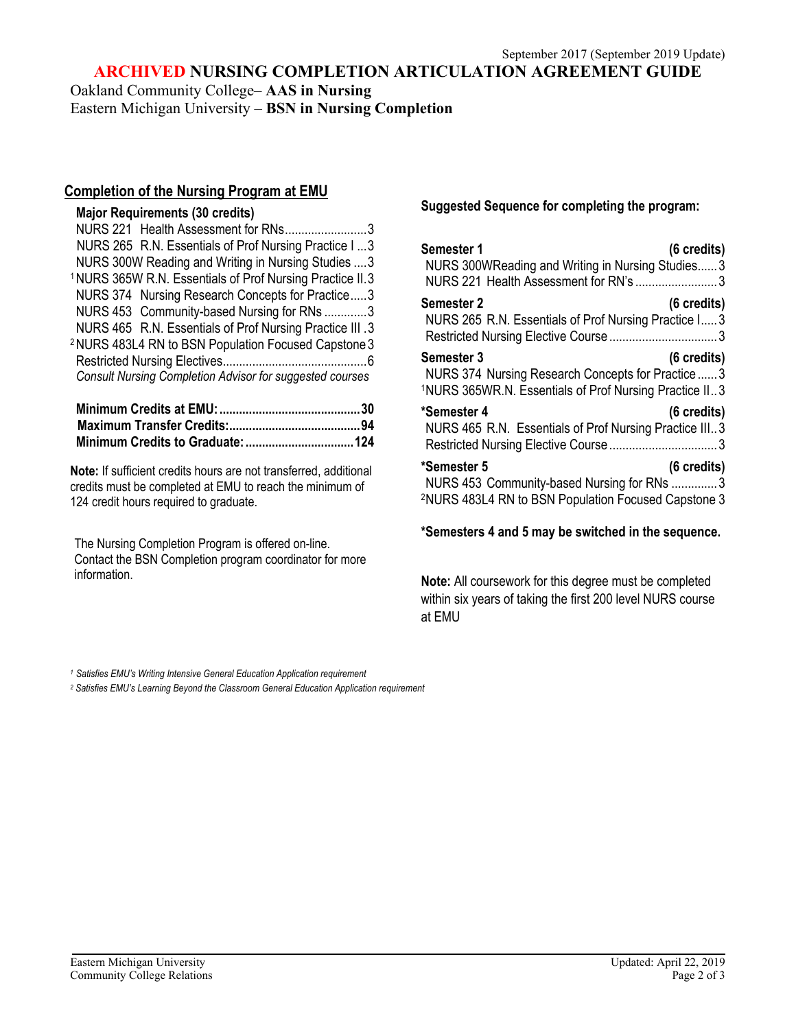**ARCHIVED NURSING COMPLETION ARTICULATION AGREEMENT GUIDE**

Oakland Community College– **AAS in Nursing**

Eastern Michigan University – **BSN in Nursing Completion**

# **Completion of the Nursing Program at EMU**

# **Major Requirements (30 credits)**

| NURS 221 Health Assessment for RNs3                                  |
|----------------------------------------------------------------------|
| NURS 265 R.N. Essentials of Prof Nursing Practice I  3               |
| NURS 300W Reading and Writing in Nursing Studies  3                  |
| <sup>1</sup> NURS 365W R.N. Essentials of Prof Nursing Practice II.3 |
| NURS 374 Nursing Research Concepts for Practice3                     |
| NURS 453 Community-based Nursing for RNs 3                           |
| NURS 465 R.N. Essentials of Prof Nursing Practice III .3             |
| <sup>2</sup> NURS 483L4 RN to BSN Population Focused Capstone 3      |
|                                                                      |
| <b>Consult Nursing Completion Advisor for suggested courses</b>      |

**Note:** If sufficient credits hours are not transferred, additional credits must be completed at EMU to reach the minimum of 124 credit hours required to graduate.

The Nursing Completion Program is offered on-line. Contact the BSN Completion program coordinator for more information.

**Suggested Sequence for completing the program:**

| <b>Semester 1</b><br>(6 credits)<br>NURS 300WReading and Writing in Nursing Studies3<br>NURS 221 Health Assessment for RN's 3                                          |
|------------------------------------------------------------------------------------------------------------------------------------------------------------------------|
| <b>Semester 2</b><br>(6 credits)<br>NURS 265 R.N. Essentials of Prof Nursing Practice I 3                                                                              |
| <b>Semester 3</b><br>$(6 \text{ credits})$<br>NURS 374 Nursing Research Concepts for Practice  3<br><sup>1</sup> NURS 365WR.N. Essentials of Prof Nursing Practice II3 |
| *Semester 4<br>$(6 \text{ credits})$<br>NURS 465 R.N. Essentials of Prof Nursing Practice III3                                                                         |
| *Semester 5<br>(6 credits)<br>NURS 453 Community-based Nursing for RNs 3<br><sup>2</sup> NURS 483L4 RN to BSN Population Focused Capstone 3                            |

**\*Semesters 4 and 5 may be switched in the sequence.**

**Note:** All coursework for this degree must be completed within six years of taking the first 200 level NURS course at EMU

*<sup>1</sup> Satisfies EMU's Writing Intensive General Education Application requirement*

*<sup>2</sup> Satisfies EMU's Learning Beyond the Classroom General Education Application requirement*